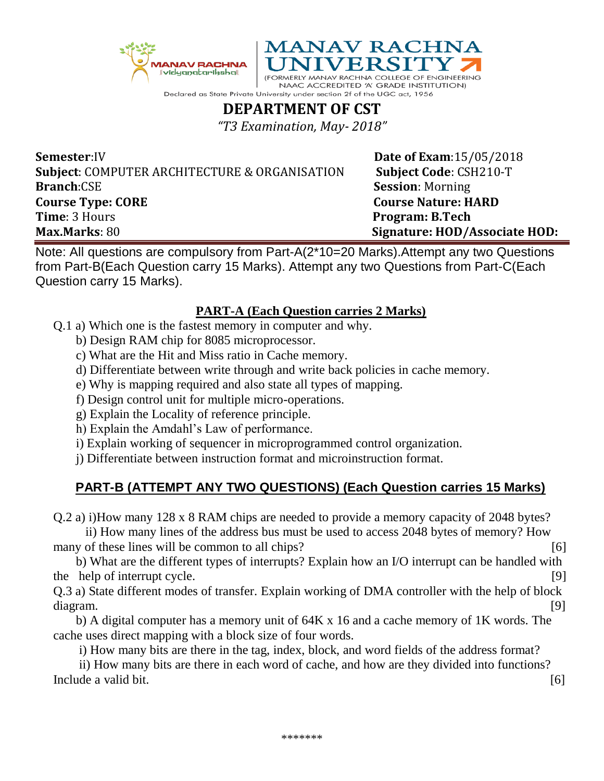



NAAC ACCREDITED 'A' GRADE INSTITUTION) Declared as State Private University under section 2f of the UGC act, 1956

## **DEPARTMENT OF CST**

*"T3 Examination, May- 2018"*

**Semester:IV Date of Exam:**15/05/2018 **Subject**: COMPUTER ARCHITECTURE & ORGANISATION **Subject Code**: CSH210-T **Branch**:CSE **Session**: Morning **Course Type: CORE** CORE COURSE COURSE COURSE RANGEMENT COURSE NATURE: HARD **Time**: 3 Hours **Program: B.Tech Max.Marks**: 80 **Signature: HOD/Associate HOD:**

Note: All questions are compulsory from Part-A(2\*10=20 Marks).Attempt any two Questions from Part-B(Each Question carry 15 Marks). Attempt any two Questions from Part-C(Each Question carry 15 Marks).

## **PART-A (Each Question carries 2 Marks)**

- Q.1 a) Which one is the fastest memory in computer and why.
	- b) Design RAM chip for 8085 microprocessor.
	- c) What are the Hit and Miss ratio in Cache memory.
	- d) Differentiate between write through and write back policies in cache memory.
	- e) Why is mapping required and also state all types of mapping.
	- f) Design control unit for multiple micro-operations.
	- g) Explain the Locality of reference principle.
	- h) Explain the Amdahl's Law of performance.
	- i) Explain working of sequencer in microprogrammed control organization.
	- j) Differentiate between instruction format and microinstruction format.

## **PART-B (ATTEMPT ANY TWO QUESTIONS) (Each Question carries 15 Marks)**

Q.2 a) i)How many 128 x 8 RAM chips are needed to provide a memory capacity of 2048 bytes?

 ii) How many lines of the address bus must be used to access 2048 bytes of memory? How many of these lines will be common to all chips? [6]

 b) What are the different types of interrupts? Explain how an I/O interrupt can be handled with the help of interrupt cycle. [9]

Q.3 a) State different modes of transfer. Explain working of DMA controller with the help of block diagram. [9]

 b) A digital computer has a memory unit of 64K x 16 and a cache memory of 1K words. The cache uses direct mapping with a block size of four words.

i) How many bits are there in the tag, index, block, and word fields of the address format?

 ii) How many bits are there in each word of cache, and how are they divided into functions? Include a valid bit. [6]